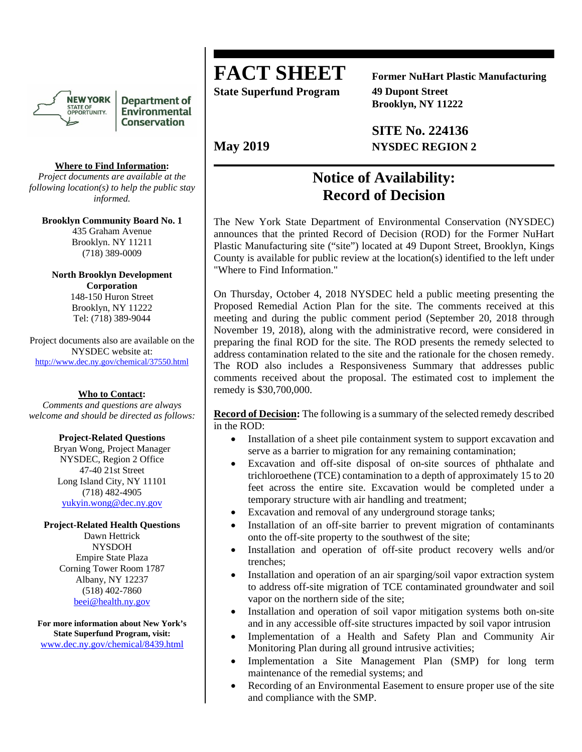

**Department of Environmental Conservation** 

### **Where to Find Information:**

*Project documents are available at the following location(s) to help the public stay informed.* 

**Brooklyn Community Board No. 1**  435 Graham Avenue Brooklyn. NY 11211 (718) 389-0009

**North Brooklyn Development Corporation**  148-150 Huron Street Brooklyn, NY 11222 Tel: (718) 389-9044

Project documents also are available on the NYSDEC website at: http://www.dec.ny.gov/chemical/37550.html

**Who to Contact:** 

*Comments and questions are always welcome and should be directed as follows:* 

### **Project-Related Questions**

Bryan Wong, Project Manager NYSDEC, Region 2 Office 47-40 21st Street Long Island City, NY 11101 (718) 482-4905 yukyin.wong@dec.ny.gov

### **Project-Related Health Questions**

Dawn Hettrick NYSDOH Empire State Plaza Corning Tower Room 1787 Albany, NY 12237 (518) 402-7860 beei@health.ny.gov

**For more information about New York's State Superfund Program, visit:**  www.dec.ny.gov/chemical/8439.html

# **FACT SHEET Former NuHart Plastic Manufacturing**

**State Superfund Program 49 Dupont Street** 

 **Brooklyn, NY 11222** 

 **SITE No. 224136**  May 2019 **NYSDEC REGION 2** 

# **Notice of Availability: Record of Decision**

The New York State Department of Environmental Conservation (NYSDEC) announces that the printed Record of Decision (ROD) for the Former NuHart Plastic Manufacturing site ("site") located at 49 Dupont Street, Brooklyn, Kings County is available for public review at the location(s) identified to the left under "Where to Find Information."

On Thursday, October 4, 2018 NYSDEC held a public meeting presenting the Proposed Remedial Action Plan for the site. The comments received at this meeting and during the public comment period (September 20, 2018 through November 19, 2018), along with the administrative record, were considered in preparing the final ROD for the site. The ROD presents the remedy selected to address contamination related to the site and the rationale for the chosen remedy. The ROD also includes a Responsiveness Summary that addresses public comments received about the proposal. The estimated cost to implement the remedy is \$30,700,000.

**Record of Decision:** The following is a summary of the selected remedy described in the ROD:

- Installation of a sheet pile containment system to support excavation and serve as a barrier to migration for any remaining contamination;
- Excavation and off-site disposal of on-site sources of phthalate and trichloroethene (TCE) contamination to a depth of approximately 15 to 20 feet across the entire site. Excavation would be completed under a temporary structure with air handling and treatment;
- Excavation and removal of any underground storage tanks;
- Installation of an off-site barrier to prevent migration of contaminants onto the off-site property to the southwest of the site;
- Installation and operation of off-site product recovery wells and/or trenches;
- Installation and operation of an air sparging/soil vapor extraction system to address off-site migration of TCE contaminated groundwater and soil vapor on the northern side of the site;
- Installation and operation of soil vapor mitigation systems both on-site and in any accessible off-site structures impacted by soil vapor intrusion
- Implementation of a Health and Safety Plan and Community Air Monitoring Plan during all ground intrusive activities;
- Implementation a Site Management Plan (SMP) for long term maintenance of the remedial systems; and
- Recording of an Environmental Easement to ensure proper use of the site and compliance with the SMP.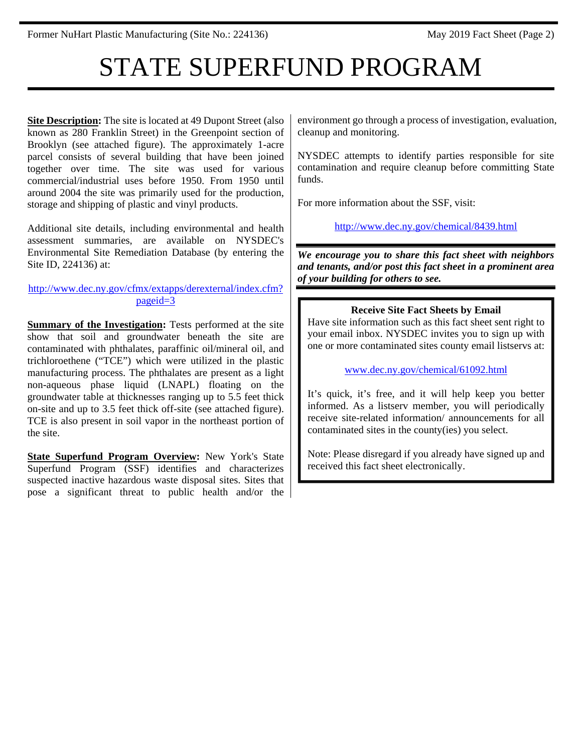# STATE SUPERFUND PROGRAM

**<u>Site Description</u>:** The site is located at 49 Dupont Street (also known as 280 Franklin Street) in the Greenpoint section of Brooklyn (see attached figure). The approximately 1-acre parcel consists of several building that have been joined together over time. The site was used for various commercial/industrial uses before 1950. From 1950 until around 2004 the site was primarily used for the production, storage and shipping of plastic and vinyl products.

Additional site details, including environmental and health assessment summaries, are available on NYSDEC's Environmental Site Remediation Database (by entering the Site ID, 224136) at:

http://www.dec.ny.gov/cfmx/extapps/derexternal/index.cfm? pageid=3

**Summary of the Investigation:** Tests performed at the site show that soil and groundwater beneath the site are contaminated with phthalates, paraffinic oil/mineral oil, and trichloroethene ("TCE") which were utilized in the plastic manufacturing process. The phthalates are present as a light non-aqueous phase liquid (LNAPL) floating on the groundwater table at thicknesses ranging up to 5.5 feet thick on-site and up to 3.5 feet thick off-site (see attached figure). TCE is also present in soil vapor in the northeast portion of the site.

**State Superfund Program Overview:** New York's State Superfund Program (SSF) identifies and characterizes suspected inactive hazardous waste disposal sites. Sites that pose a significant threat to public health and/or the environment go through a process of investigation, evaluation, cleanup and monitoring.

NYSDEC attempts to identify parties responsible for site contamination and require cleanup before committing State funds.

For more information about the SSF, visit:

http://www.dec.ny.gov/chemical/8439.html

*We encourage you to share this fact sheet with neighbors and tenants, and/or post this fact sheet in a prominent area of your building for others to see.* 

## **Receive Site Fact Sheets by Email**

Have site information such as this fact sheet sent right to your email inbox. NYSDEC invites you to sign up with one or more contaminated sites county email listservs at:

www.dec.ny.gov/chemical/61092.html

It's quick, it's free, and it will help keep you better informed. As a listserv member, you will periodically receive site-related information/ announcements for all contaminated sites in the county(ies) you select.

Note: Please disregard if you already have signed up and received this fact sheet electronically.